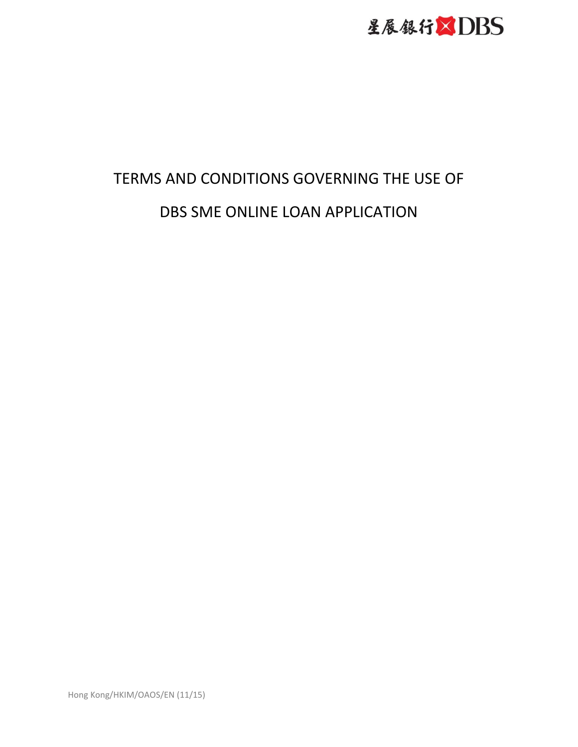

# TERMS AND CONDITIONS GOVERNING THE USE OF DBS SME ONLINE LOAN APPLICATION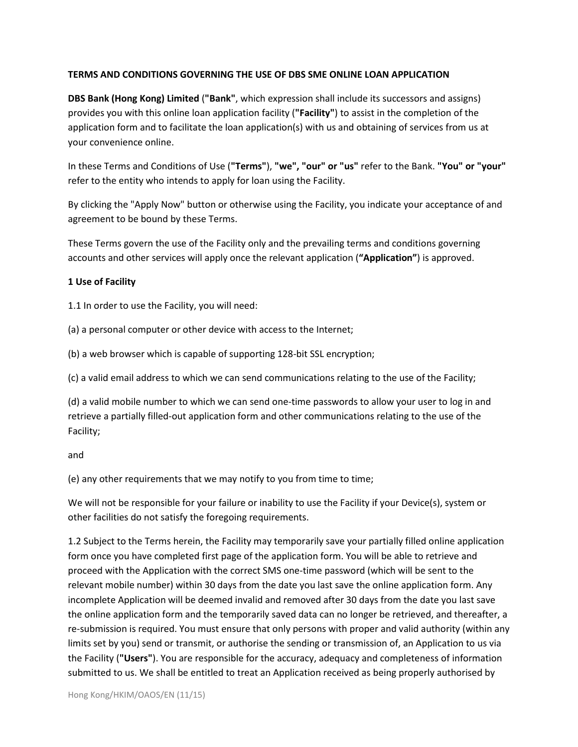## **TERMS AND CONDITIONS GOVERNING THE USE OF DBS SME ONLINE LOAN APPLICATION**

**DBS Bank (Hong Kong) Limited** (**"Bank"**, which expression shall include its successors and assigns) provides you with this online loan application facility (**"Facility"**) to assist in the completion of the application form and to facilitate the loan application(s) with us and obtaining of services from us at your convenience online.

In these Terms and Conditions of Use (**"Terms"**), **"we", "our" or "us"** refer to the Bank. **"You" or "your"** refer to the entity who intends to apply for loan using the Facility.

By clicking the "Apply Now" button or otherwise using the Facility, you indicate your acceptance of and agreement to be bound by these Terms.

These Terms govern the use of the Facility only and the prevailing terms and conditions governing accounts and other services will apply once the relevant application (**"Application"**) is approved.

## **1 Use of Facility**

1.1 In order to use the Facility, you will need:

(a) a personal computer or other device with access to the Internet;

(b) a web browser which is capable of supporting 128-bit SSL encryption;

(c) a valid email address to which we can send communications relating to the use of the Facility;

(d) a valid mobile number to which we can send one-time passwords to allow your user to log in and retrieve a partially filled-out application form and other communications relating to the use of the Facility;

and

(e) any other requirements that we may notify to you from time to time;

We will not be responsible for your failure or inability to use the Facility if your Device(s), system or other facilities do not satisfy the foregoing requirements.

1.2 Subject to the Terms herein, the Facility may temporarily save your partially filled online application form once you have completed first page of the application form. You will be able to retrieve and proceed with the Application with the correct SMS one-time password (which will be sent to the relevant mobile number) within 30 days from the date you last save the online application form. Any incomplete Application will be deemed invalid and removed after 30 days from the date you last save the online application form and the temporarily saved data can no longer be retrieved, and thereafter, a re-submission is required. You must ensure that only persons with proper and valid authority (within any limits set by you) send or transmit, or authorise the sending or transmission of, an Application to us via the Facility (**"Users"**). You are responsible for the accuracy, adequacy and completeness of information submitted to us. We shall be entitled to treat an Application received as being properly authorised by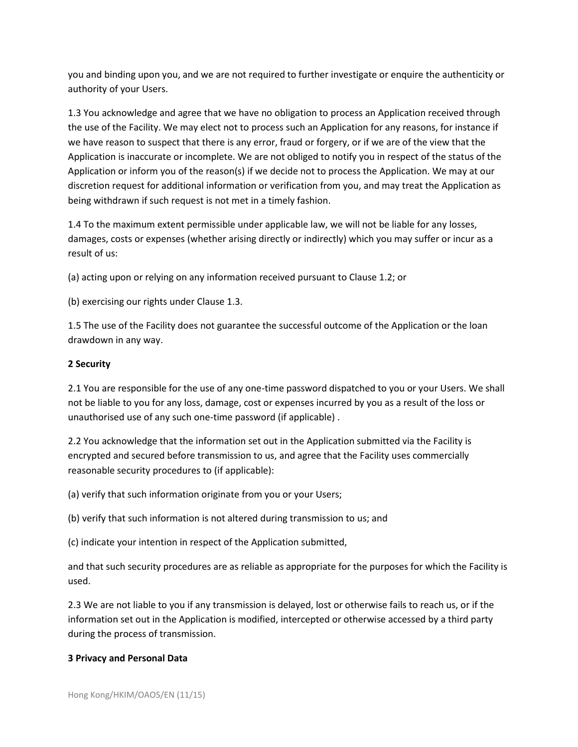you and binding upon you, and we are not required to further investigate or enquire the authenticity or authority of your Users.

1.3 You acknowledge and agree that we have no obligation to process an Application received through the use of the Facility. We may elect not to process such an Application for any reasons, for instance if we have reason to suspect that there is any error, fraud or forgery, or if we are of the view that the Application is inaccurate or incomplete. We are not obliged to notify you in respect of the status of the Application or inform you of the reason(s) if we decide not to process the Application. We may at our discretion request for additional information or verification from you, and may treat the Application as being withdrawn if such request is not met in a timely fashion.

1.4 To the maximum extent permissible under applicable law, we will not be liable for any losses, damages, costs or expenses (whether arising directly or indirectly) which you may suffer or incur as a result of us:

(a) acting upon or relying on any information received pursuant to Clause 1.2; or

(b) exercising our rights under Clause 1.3.

1.5 The use of the Facility does not guarantee the successful outcome of the Application or the loan drawdown in any way.

## **2 Security**

2.1 You are responsible for the use of any one-time password dispatched to you or your Users. We shall not be liable to you for any loss, damage, cost or expenses incurred by you as a result of the loss or unauthorised use of any such one-time password (if applicable) .

2.2 You acknowledge that the information set out in the Application submitted via the Facility is encrypted and secured before transmission to us, and agree that the Facility uses commercially reasonable security procedures to (if applicable):

(a) verify that such information originate from you or your Users;

(b) verify that such information is not altered during transmission to us; and

(c) indicate your intention in respect of the Application submitted,

and that such security procedures are as reliable as appropriate for the purposes for which the Facility is used.

2.3 We are not liable to you if any transmission is delayed, lost or otherwise fails to reach us, or if the information set out in the Application is modified, intercepted or otherwise accessed by a third party during the process of transmission.

## **3 Privacy and Personal Data**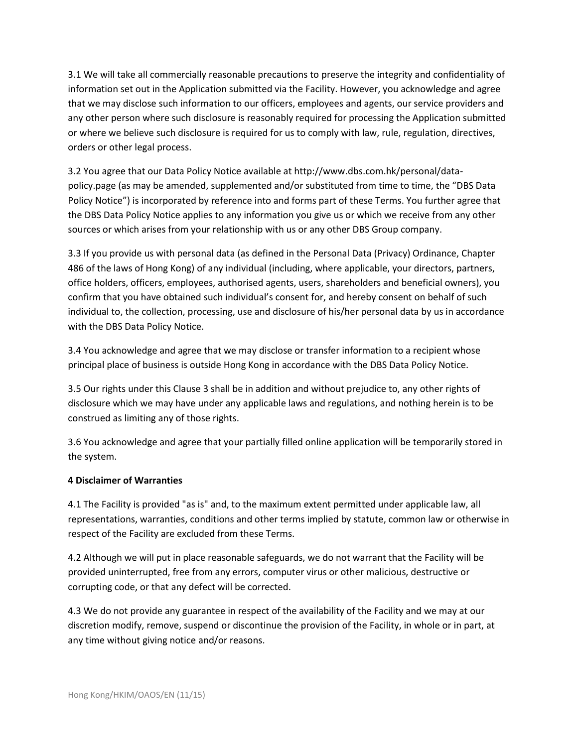3.1 We will take all commercially reasonable precautions to preserve the integrity and confidentiality of information set out in the Application submitted via the Facility. However, you acknowledge and agree that we may disclose such information to our officers, employees and agents, our service providers and any other person where such disclosure is reasonably required for processing the Application submitted or where we believe such disclosure is required for us to comply with law, rule, regulation, directives, orders or other legal process.

3.2 You agree that our Data Policy Notice available at http://www.dbs.com.hk/personal/datapolicy.page (as may be amended, supplemented and/or substituted from time to time, the "DBS Data Policy Notice") is incorporated by reference into and forms part of these Terms. You further agree that the DBS Data Policy Notice applies to any information you give us or which we receive from any other sources or which arises from your relationship with us or any other DBS Group company.

3.3 If you provide us with personal data (as defined in the Personal Data (Privacy) Ordinance, Chapter 486 of the laws of Hong Kong) of any individual (including, where applicable, your directors, partners, office holders, officers, employees, authorised agents, users, shareholders and beneficial owners), you confirm that you have obtained such individual's consent for, and hereby consent on behalf of such individual to, the collection, processing, use and disclosure of his/her personal data by us in accordance with the DBS Data Policy Notice.

3.4 You acknowledge and agree that we may disclose or transfer information to a recipient whose principal place of business is outside Hong Kong in accordance with the DBS Data Policy Notice.

3.5 Our rights under this Clause 3 shall be in addition and without prejudice to, any other rights of disclosure which we may have under any applicable laws and regulations, and nothing herein is to be construed as limiting any of those rights.

3.6 You acknowledge and agree that your partially filled online application will be temporarily stored in the system.

## **4 Disclaimer of Warranties**

4.1 The Facility is provided "as is" and, to the maximum extent permitted under applicable law, all representations, warranties, conditions and other terms implied by statute, common law or otherwise in respect of the Facility are excluded from these Terms.

4.2 Although we will put in place reasonable safeguards, we do not warrant that the Facility will be provided uninterrupted, free from any errors, computer virus or other malicious, destructive or corrupting code, or that any defect will be corrected.

4.3 We do not provide any guarantee in respect of the availability of the Facility and we may at our discretion modify, remove, suspend or discontinue the provision of the Facility, in whole or in part, at any time without giving notice and/or reasons.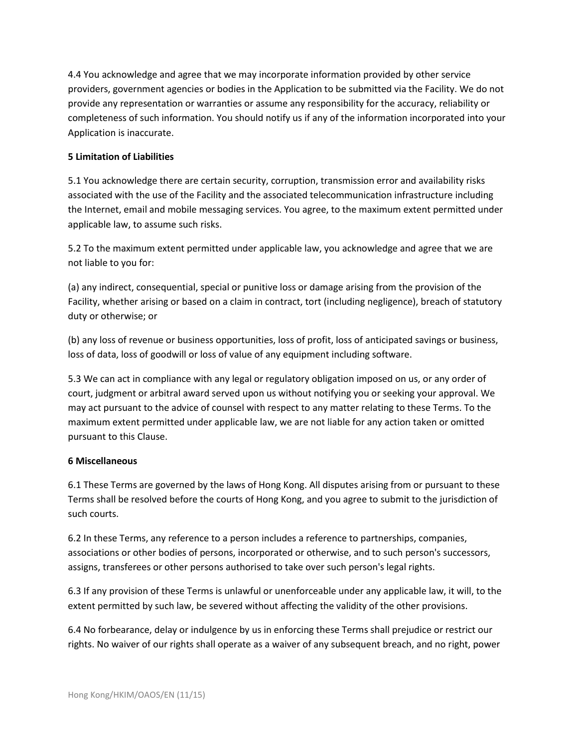4.4 You acknowledge and agree that we may incorporate information provided by other service providers, government agencies or bodies in the Application to be submitted via the Facility. We do not provide any representation or warranties or assume any responsibility for the accuracy, reliability or completeness of such information. You should notify us if any of the information incorporated into your Application is inaccurate.

### **5 Limitation of Liabilities**

5.1 You acknowledge there are certain security, corruption, transmission error and availability risks associated with the use of the Facility and the associated telecommunication infrastructure including the Internet, email and mobile messaging services. You agree, to the maximum extent permitted under applicable law, to assume such risks.

5.2 To the maximum extent permitted under applicable law, you acknowledge and agree that we are not liable to you for:

(a) any indirect, consequential, special or punitive loss or damage arising from the provision of the Facility, whether arising or based on a claim in contract, tort (including negligence), breach of statutory duty or otherwise; or

(b) any loss of revenue or business opportunities, loss of profit, loss of anticipated savings or business, loss of data, loss of goodwill or loss of value of any equipment including software.

5.3 We can act in compliance with any legal or regulatory obligation imposed on us, or any order of court, judgment or arbitral award served upon us without notifying you or seeking your approval. We may act pursuant to the advice of counsel with respect to any matter relating to these Terms. To the maximum extent permitted under applicable law, we are not liable for any action taken or omitted pursuant to this Clause.

#### **6 Miscellaneous**

6.1 These Terms are governed by the laws of Hong Kong. All disputes arising from or pursuant to these Terms shall be resolved before the courts of Hong Kong, and you agree to submit to the jurisdiction of such courts.

6.2 In these Terms, any reference to a person includes a reference to partnerships, companies, associations or other bodies of persons, incorporated or otherwise, and to such person's successors, assigns, transferees or other persons authorised to take over such person's legal rights.

6.3 If any provision of these Terms is unlawful or unenforceable under any applicable law, it will, to the extent permitted by such law, be severed without affecting the validity of the other provisions.

6.4 No forbearance, delay or indulgence by us in enforcing these Terms shall prejudice or restrict our rights. No waiver of our rights shall operate as a waiver of any subsequent breach, and no right, power